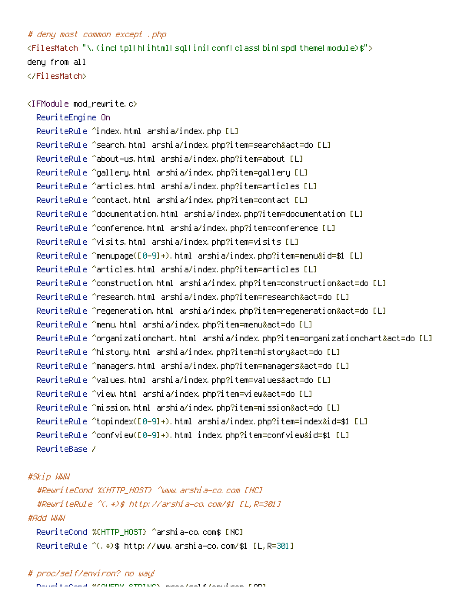## # deny most common except .php

 $\langle$ FilesMatch "\.(inc|tpl|h|ihtml|sql|ini|conf|class|bin|spd|theme|module)\$"> deny from all </FilesMatch>

<IFModule mod\_rewrite.c> RewriteEngine On RewriteRule ^index.html arshia/index.php [L] RewriteRule ^search.html arshia/index.php?item=search&act=do [L] RewriteRule ^about-us.html arshia/index.php?item=about [L] RewriteRule ^gallery.html arshia/index.php?item=gallery [L] RewriteRule ^articles.html arshia/index.php?item=articles [L] RewriteRule ^contact.html arshia/index.php?item=contact [L] RewriteRule ^documentation.html arshia/index.php?item=documentation [L] RewriteRule ^conference.html arshia/index.php?item=conference [L] RewriteRule ^visits.html arshia/index.php?item=visits [L] RewriteRule ^menupage([0-9]+).html arshia/index.php?item=menu&id=\$1 [L] RewriteRule ^articles.html arshia/index.php?item=articles [L] RewriteRule ^construction.html arshia/index.php?item=construction&act=do [L] RewriteRule ^research.html arshia/index.php?item=research&act=do [L] RewriteRule ^regeneration.html arshia/index.php?item=regeneration&act=do [L] RewriteRule ^menu.html arshia/index.php?item=menu&act=do [L] RewriteRule ^organizationchart.html arshia/index.php?item=organizationchart&act=do [L] RewriteRule ^history.html arshia/index.php?item=history&act=do [L] RewriteRule ^managers.html arshia/index.php?item=managers&act=do [L] RewriteRule ^values.html arshia/index.php?item=values&act=do [L] RewriteRule ^view.html arshia/index.php?item=view&act=do [L] RewriteRule ^mission.html arshia/index.php?item=mission&act=do [L] RewriteRule ^topindex([0-9]+).html arshia/index.php?item=index&id=\$1 [L] RewriteRule ^confview([0-9]+).html index.php?item=confview&id=\$1 [L] RewriteBase /

## #Skip WWW

#RewriteCond %{HTTP\_HOST} ^www.arshia-co.com [NC] #RewriteRule ^(.\*)\$ http://arshia-co.com/\$1 [L,R=301] #Add WWW RewriteCond %{HTTP\_HOST} ^arshia-co.com\$ [NC]

RewriteRule ^(.\*)\$ http://www.arshia-co.com/\$1 [L,R=301]

## # proc/self/environ? no way!